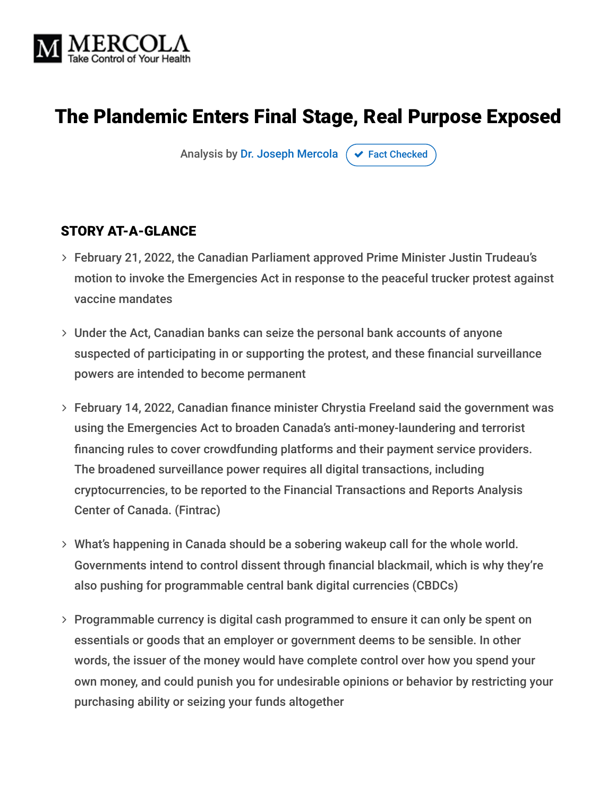

# The Plandemic Enters Final Stage, Real Purpose Exposed

Analysis by [Dr. Joseph Mercola](https://www.mercola.com/forms/background.htm)  $\sigma$  [Fact Checked](javascript:void(0))

#### STORY AT-A-GLANCE

- February 21, 2022, the Canadian Parliament approved Prime Minister Justin Trudeau's motion to invoke the Emergencies Act in response to the peaceful trucker protest against vaccine mandates
- Under the Act, Canadian banks can seize the personal bank accounts of anyone suspected of participating in or supporting the protest, and these financial surveillance powers are intended to become permanent
- February 14, 2022, Canadian finance minister Chrystia Freeland said the government was using the Emergencies Act to broaden Canada's anti-money-laundering and terrorist financing rules to cover crowdfunding platforms and their payment service providers. The broadened surveillance power requires all digital transactions, including cryptocurrencies, to be reported to the Financial Transactions and Reports Analysis Center of Canada. (Fintrac)
- What's happening in Canada should be a sobering wakeup call for the whole world. Governments intend to control dissent through financial blackmail, which is why they're also pushing for programmable central bank digital currencies (CBDCs)
- Programmable currency is digital cash programmed to ensure it can only be spent on essentials or goods that an employer or government deems to be sensible. In other words, the issuer of the money would have complete control over how you spend your own money, and could punish you for undesirable opinions or behavior by restricting your purchasing ability or seizing your funds altogether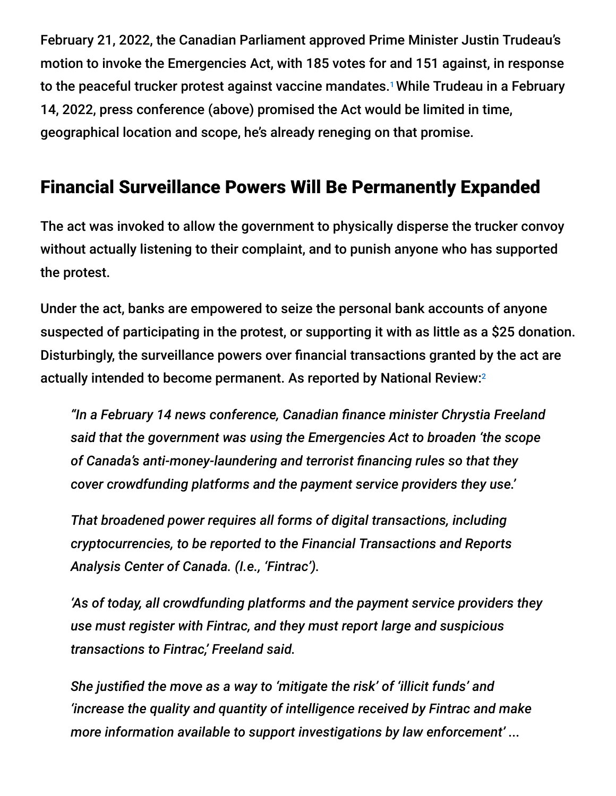February 21, 2022, the Canadian Parliament approved Prime Minister Justin Trudeau's motion to invoke the Emergencies Act, with 185 votes for and 151 against, in response to the peaceful trucker protest against vaccine mandates.<sup>1</sup> While Trudeau in a February 14, 2022, press conference (above) promised the Act would be limited in time, geographical location and scope, he's already reneging on that promise.

# Financial Surveillance Powers Will Be Permanently Expanded

The act was invoked to allow the government to physically disperse the trucker convoy without actually listening to their complaint, and to punish anyone who has supported the protest.

Under the act, banks are empowered to seize the personal bank accounts of anyone suspected of participating in the protest, or supporting it with as little as a \$25 donation. Disturbingly, the surveillance powers over financial transactions granted by the act are actually intended to become permanent. As reported by National Review: 2

*"In a February 14 news conference, Canadian finance minister Chrystia Freeland said that the government was using the Emergencies Act to broaden 'the scope of Canada's anti-money-laundering and terrorist financing rules so that they cover crowdfunding platforms and the payment service providers they use.'*

*That broadened power requires all forms of digital transactions, including cryptocurrencies, to be reported to the Financial Transactions and Reports Analysis Center of Canada. (I.e., 'Fintrac').*

*'As of today, all crowdfunding platforms and the payment service providers they use must register with Fintrac, and they must report large and suspicious transactions to Fintrac,' Freeland said.*

*She justified the move as a way to 'mitigate the risk' of 'illicit funds' and 'increase the quality and quantity of intelligence received by Fintrac and make more information available to support investigations by law enforcement' ...*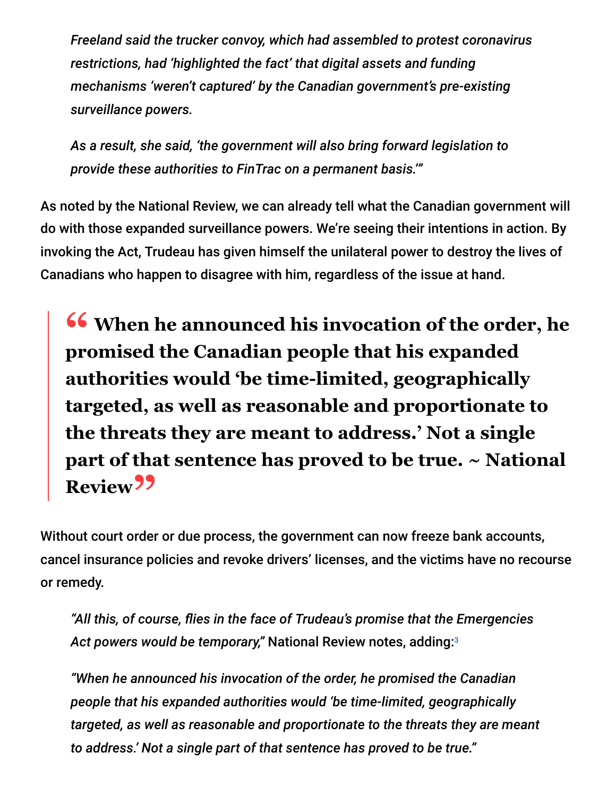*Freeland said the trucker convoy, which had assembled to protest coronavirus restrictions, had 'highlighted the fact' that digital assets and funding mechanisms 'weren't captured' by the Canadian government's pre-existing surveillance powers.*

*As a result, she said, 'the government will also bring forward legislation to provide these authorities to FinTrac on a permanent basis.'"*

As noted by the National Review, we can already tell what the Canadian government will do with those expanded surveillance powers. We're seeing their intentions in action. By invoking the Act, Trudeau has given himself the unilateral power to destroy the lives of Canadians who happen to disagree with him, regardless of the issue at hand.

**<sup>66</sup>** When he announced his invocation of the order, he promised the Canadian people that his expanded **promised the Canadian people that his expanded authorities would 'be time-limited, geographically targeted, as well as reasonable and proportionate to the threats they are meant to address.' Not a single part of that sentence has proved to be true. ~ National** Review<sup>99</sup>

Without court order or due process, the government can now freeze bank accounts, cancel insurance policies and revoke drivers' licenses, and the victims have no recourse or remedy.

*"All this, of course, flies in the face of Trudeau's promise that the Emergencies Act powers would be temporary,"* National Review notes, adding: 3

*"When he announced his invocation of the order, he promised the Canadian people that his expanded authorities would 'be time-limited, geographically targeted, as well as reasonable and proportionate to the threats they are meant to address.' Not a single part of that sentence has proved to be true."*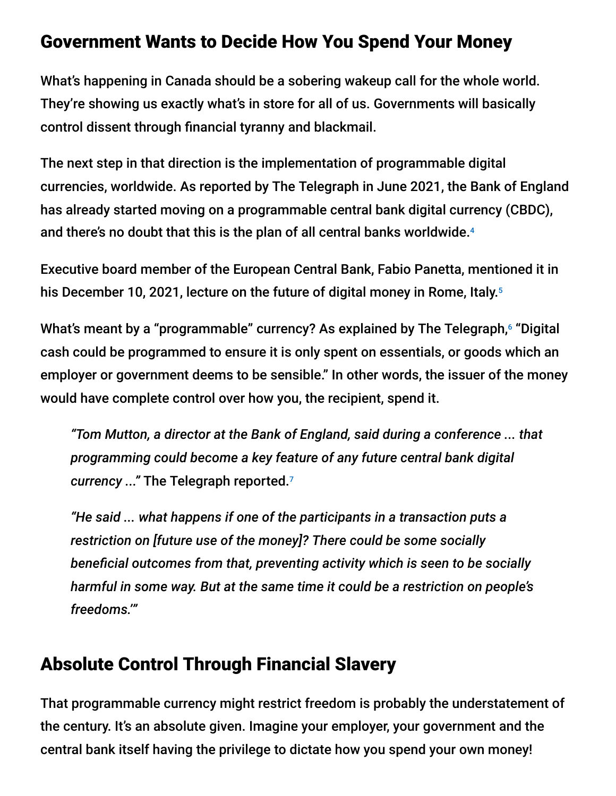### Government Wants to Decide How You Spend Your Money

What's happening in Canada should be a sobering wakeup call for the whole world. They're showing us exactly what's in store for all of us. Governments will basically control dissent through financial tyranny and blackmail.

The next step in that direction is the implementation of programmable digital currencies, worldwide. As reported by The Telegraph in June 2021, the Bank of England has already started moving on a programmable central bank digital currency (CBDC), and there's no doubt that this is the plan of all central banks worldwide. 4

Executive board member of the European Central Bank, Fabio Panetta, mentioned it in his December 10, 2021, lecture on the future of digital money in Rome, Italy. 5

What's meant by a "programmable" currency? As explained by The Telegraph, <sup>6</sup> "Digital cash could be programmed to ensure it is only spent on essentials, or goods which an employer or government deems to be sensible." In other words, the issuer of the money would have complete control over how you, the recipient, spend it.

*"Tom Mutton, a director at the Bank of England, said during a conference ... that programming could become a key feature of any future central bank digital currency ..."* The Telegraph reported. 7

*"He said ... what happens if one of the participants in a transaction puts a restriction on [future use of the money]? There could be some socially beneficial outcomes from that, preventing activity which is seen to be socially harmful in some way. But at the same time it could be a restriction on people's freedoms.'"*

# Absolute Control Through Financial Slavery

That programmable currency might restrict freedom is probably the understatement of the century. It's an absolute given. Imagine your employer, your government and the central bank itself having the privilege to dictate how you spend your own money!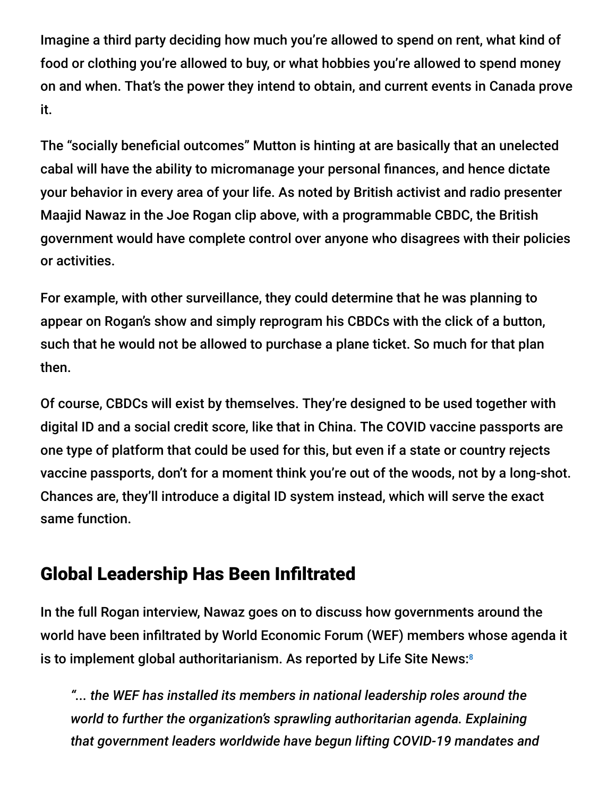Imagine a third party deciding how much you're allowed to spend on rent, what kind of food or clothing you're allowed to buy, or what hobbies you're allowed to spend money on and when. That's the power they intend to obtain, and current events in Canada prove it.

The "socially beneficial outcomes" Mutton is hinting at are basically that an unelected cabal will have the ability to micromanage your personal finances, and hence dictate your behavior in every area of your life. As noted by British activist and radio presenter Maajid Nawaz in the Joe Rogan clip above, with a programmable CBDC, the British government would have complete control over anyone who disagrees with their policies or activities.

For example, with other surveillance, they could determine that he was planning to appear on Rogan's show and simply reprogram his CBDCs with the click of a button, such that he would not be allowed to purchase a plane ticket. So much for that plan then.

Of course, CBDCs will exist by themselves. They're designed to be used together with digital ID and a social credit score, like that in China. The COVID vaccine passports are one type of platform that could be used for this, but even if a state or country rejects vaccine passports, don't for a moment think you're out of the woods, not by a long-shot. Chances are, they'll introduce a digital ID system instead, which will serve the exact same function.

# Global Leadership Has Been Infiltrated

In the full Rogan interview, Nawaz goes on to discuss how governments around the world have been infiltrated by World Economic Forum (WEF) members whose agenda it is to implement global authoritarianism. As reported by Life Site News: 8

*"... the WEF has installed its members in national leadership roles around the world to further the organization's sprawling authoritarian agenda. Explaining that government leaders worldwide have begun lifting COVID-19 mandates and*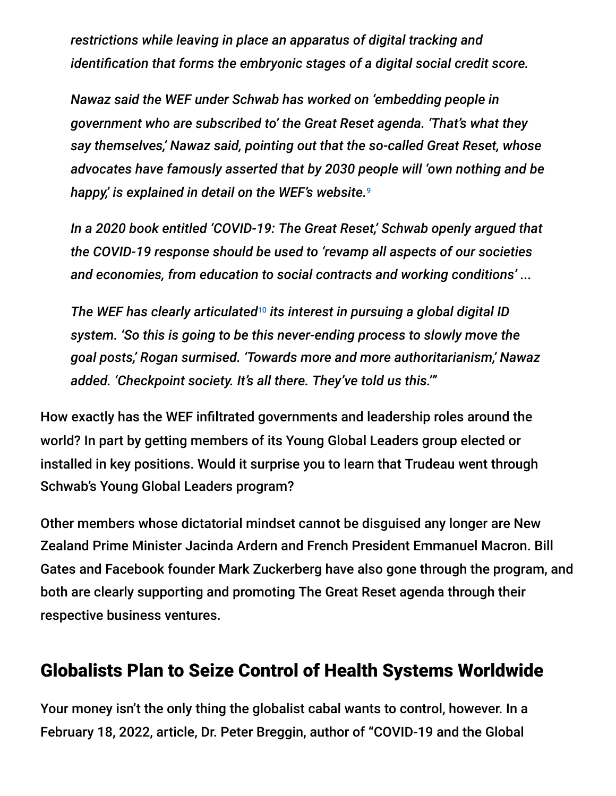*restrictions while leaving in place an apparatus of digital tracking and identification that forms the embryonic stages of a digital social credit score.*

*Nawaz said the WEF under Schwab has worked on 'embedding people in government who are subscribed to' the Great Reset agenda. 'That's what they say themselves,' Nawaz said, pointing out that the so-called Great Reset, whose advocates have famously asserted that by 2030 people will 'own nothing and be happy,' is explained in detail on the WEF's website.* 9

*In a 2020 book entitled 'COVID-19: The Great Reset,' Schwab openly argued that the COVID-19 response should be used to 'revamp all aspects of our societies and economies, from education to social contracts and working conditions' ...*

The WEF has clearly articulated<sup>10</sup> its interest in pursuing a global digital ID *system. 'So this is going to be this never-ending process to slowly move the goal posts,' Rogan surmised. 'Towards more and more authoritarianism,' Nawaz added. 'Checkpoint society. It's all there. They've told us this.'"*

How exactly has the WEF infiltrated governments and leadership roles around the world? In part by getting members of its Young Global Leaders group elected or installed in key positions. Would it surprise you to learn that Trudeau went through Schwab's Young Global Leaders program?

Other members whose dictatorial mindset cannot be disguised any longer are New Zealand Prime Minister Jacinda Ardern and French President Emmanuel Macron. Bill Gates and Facebook founder Mark Zuckerberg have also gone through the program, and both are clearly supporting and promoting The Great Reset agenda through their respective business ventures.

### Globalists Plan to Seize Control of Health Systems Worldwide

Your money isn't the only thing the globalist cabal wants to control, however. In a February 18, 2022, article, Dr. Peter Breggin, author of "COVID-19 and the Global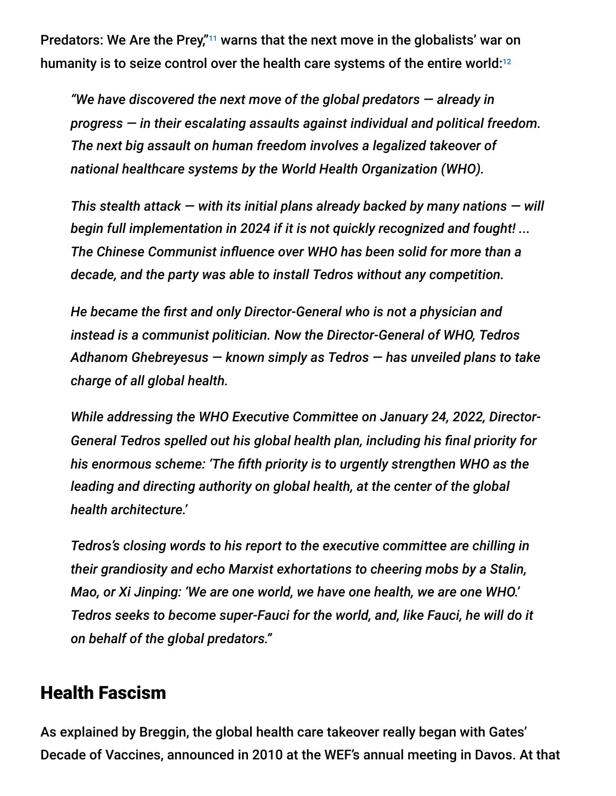Predators: We Are the Prey,"<sup>11</sup> warns that the next move in the globalists' war on humanity is to seize control over the health care systems of the entire world: $^{12}$ 

*"We have discovered the next move of the global predators — already in progress — in their escalating assaults against individual and political freedom. The next big assault on human freedom involves a legalized takeover of national healthcare systems by the World Health Organization (WHO).*

*This stealth attack — with its initial plans already backed by many nations — will begin full implementation in 2024 if it is not quickly recognized and fought! ... The Chinese Communist influence over WHO has been solid for more than a decade, and the party was able to install Tedros without any competition.*

*He became the first and only Director-General who is not a physician and instead is a communist politician. Now the Director-General of WHO, Tedros Adhanom Ghebreyesus — known simply as Tedros — has unveiled plans to take charge of all global health.*

*While addressing the WHO Executive Committee on January 24, 2022, Director-General Tedros spelled out his global health plan, including his final priority for his enormous scheme: 'The fifth priority is to urgently strengthen WHO as the leading and directing authority on global health, at the center of the global health architecture.'*

*Tedros's closing words to his report to the executive committee are chilling in their grandiosity and echo Marxist exhortations to cheering mobs by a Stalin, Mao, or Xi Jinping: 'We are one world, we have one health, we are one WHO.' Tedros seeks to become super-Fauci for the world, and, like Fauci, he will do it on behalf of the global predators."*

### Health Fascism

As explained by Breggin, the global health care takeover really began with Gates' Decade of Vaccines, announced in 2010 at the WEF's annual meeting in Davos. At that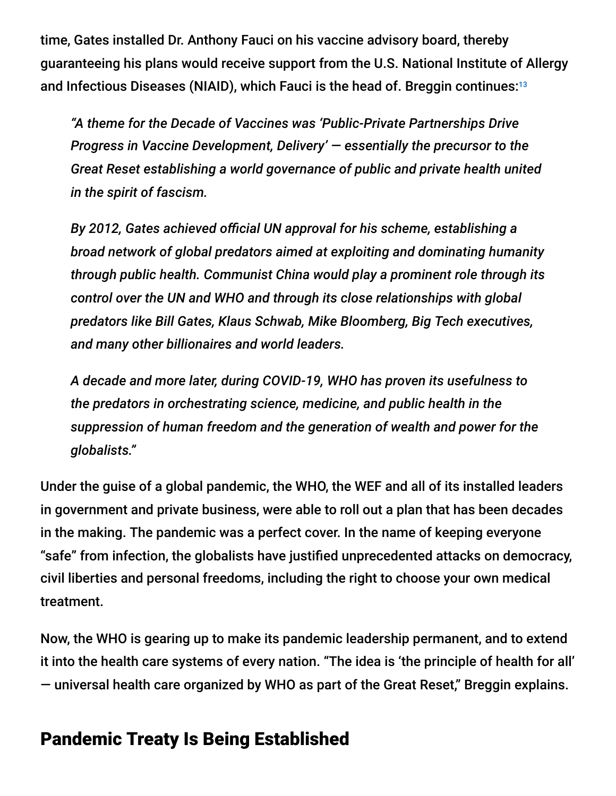time, Gates installed Dr. Anthony Fauci on his vaccine advisory board, thereby guaranteeing his plans would receive support from the U.S. National Institute of Allergy and Infectious Diseases (NIAID), which Fauci is the head of. Breggin continues: 13

*"A theme for the Decade of Vaccines was 'Public-Private Partnerships Drive Progress in Vaccine Development, Delivery' — essentially the precursor to the Great Reset establishing a world governance of public and private health united in the spirit of fascism.*

*By 2012, Gates achieved official UN approval for his scheme, establishing a broad network of global predators aimed at exploiting and dominating humanity through public health. Communist China would play a prominent role through its control over the UN and WHO and through its close relationships with global predators like Bill Gates, Klaus Schwab, Mike Bloomberg, Big Tech executives, and many other billionaires and world leaders.*

*A decade and more later, during COVID-19, WHO has proven its usefulness to the predators in orchestrating science, medicine, and public health in the suppression of human freedom and the generation of wealth and power for the globalists."*

Under the guise of a global pandemic, the WHO, the WEF and all of its installed leaders in government and private business, were able to roll out a plan that has been decades in the making. The pandemic was a perfect cover. In the name of keeping everyone "safe" from infection, the globalists have justified unprecedented attacks on democracy, civil liberties and personal freedoms, including the right to choose your own medical treatment.

Now, the WHO is gearing up to make its pandemic leadership permanent, and to extend it into the health care systems of every nation. "The idea is 'the principle of health for all' — universal health care organized by WHO as part of the Great Reset," Breggin explains.

### Pandemic Treaty Is Being Established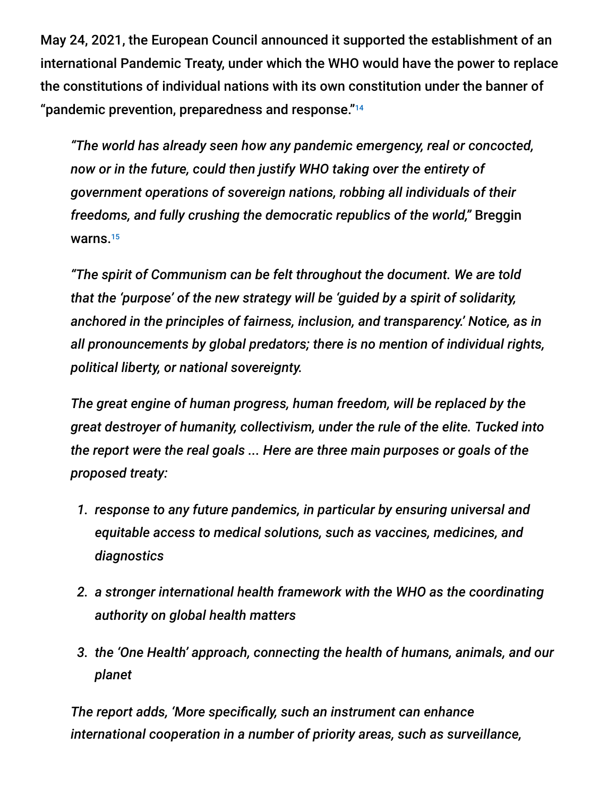May 24, 2021, the European Council announced it supported the establishment of an international Pandemic Treaty, under which the WHO would have the power to replace the constitutions of individual nations with its own constitution under the banner of "pandemic prevention, preparedness and response." 14

*"The world has already seen how any pandemic emergency, real or concocted, now or in the future, could then justify WHO taking over the entirety of government operations of sovereign nations, robbing all individuals of their freedoms, and fully crushing the democratic republics of the world,"* Breggin warns. 15

*"The spirit of Communism can be felt throughout the document. We are told that the 'purpose' of the new strategy will be 'guided by a spirit of solidarity, anchored in the principles of fairness, inclusion, and transparency.' Notice, as in all pronouncements by global predators; there is no mention of individual rights, political liberty, or national sovereignty.*

*The great engine of human progress, human freedom, will be replaced by the great destroyer of humanity, collectivism, under the rule of the elite. Tucked into the report were the real goals ... Here are three main purposes or goals of the proposed treaty:*

- *1. response to any future pandemics, in particular by ensuring universal and equitable access to medical solutions, such as vaccines, medicines, and diagnostics*
- *2. a stronger international health framework with the WHO as the coordinating authority on global health matters*
- *3. the 'One Health' approach, connecting the health of humans, animals, and our planet*

*The report adds, 'More specifically, such an instrument can enhance international cooperation in a number of priority areas, such as surveillance,*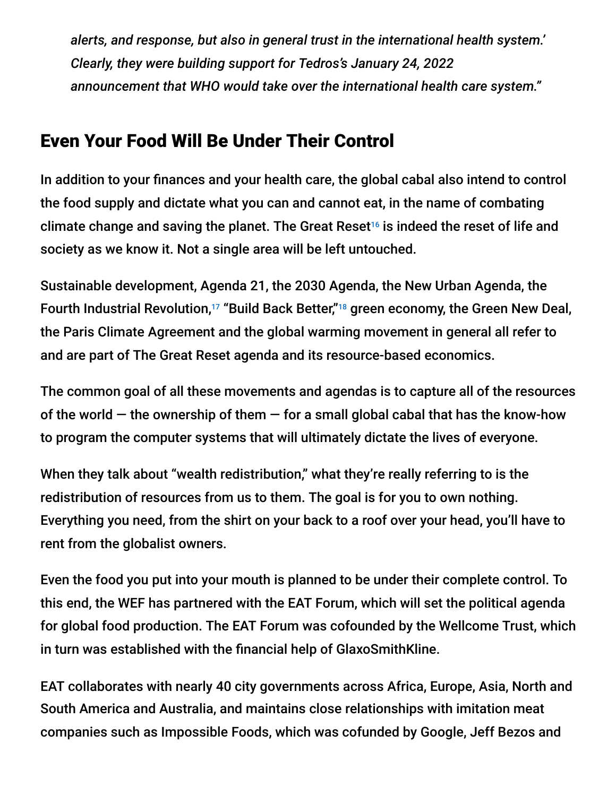*alerts, and response, but also in general trust in the international health system.' Clearly, they were building support for Tedros's January 24, 2022 announcement that WHO would take over the international health care system."*

# Even Your Food Will Be Under Their Control

In addition to your finances and your health care, the global cabal also intend to control the food supply and dictate what you can and cannot eat, in the name of combating climate change and saving the planet. The Great Reset<sup>16</sup> is indeed the reset of life and society as we know it. Not a single area will be left untouched.

Sustainable development, Agenda 21, the 2030 Agenda, the New Urban Agenda, the Fourth Industrial Revolution,<sup>17</sup> "Build Back Better,"<sup>18</sup> green economy, the Green New Deal, the Paris Climate Agreement and the global warming movement in general all refer to and are part of The Great Reset agenda and its resource-based economics.

The common goal of all these movements and agendas is to capture all of the resources of the world  $-$  the ownership of them  $-$  for a small global cabal that has the know-how to program the computer systems that will ultimately dictate the lives of everyone.

When they talk about "wealth redistribution," what they're really referring to is the redistribution of resources from us to them. The goal is for you to own nothing. Everything you need, from the shirt on your back to a roof over your head, you'll have to rent from the globalist owners.

Even the food you put into your mouth is planned to be under their complete control. To this end, the WEF has partnered with the EAT Forum, which will set the political agenda for global food production. The EAT Forum was cofounded by the Wellcome Trust, which in turn was established with the financial help of GlaxoSmithKline.

EAT collaborates with nearly 40 city governments across Africa, Europe, Asia, North and South America and Australia, and maintains close relationships with imitation meat companies such as Impossible Foods, which was cofunded by Google, Jeff Bezos and